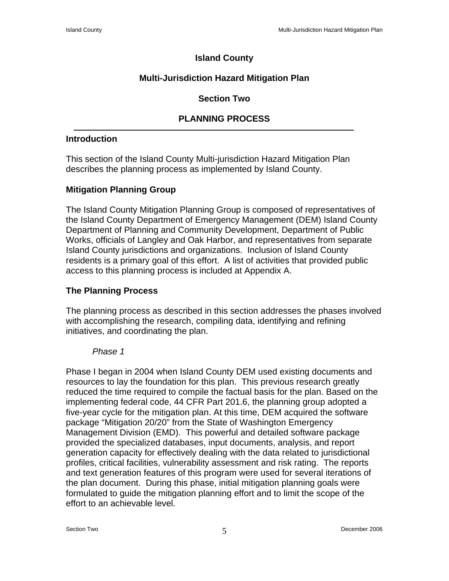# **Island County**

# **Multi-Jurisdiction Hazard Mitigation Plan**

# **Section Two**

# **PLANNING PROCESS**

### **Introduction**

This section of the Island County Multi-jurisdiction Hazard Mitigation Plan describes the planning process as implemented by Island County.

## **Mitigation Planning Group**

The Island County Mitigation Planning Group is composed of representatives of the Island County Department of Emergency Management (DEM) Island County Department of Planning and Community Development, Department of Public Works, officials of Langley and Oak Harbor, and representatives from separate Island County jurisdictions and organizations. Inclusion of Island County residents is a primary goal of this effort. A list of activities that provided public access to this planning process is included at Appendix A.

## **The Planning Process**

The planning process as described in this section addresses the phases involved with accomplishing the research, compiling data, identifying and refining initiatives, and coordinating the plan.

#### *Phase 1*

Phase I began in 2004 when Island County DEM used existing documents and resources to lay the foundation for this plan. This previous research greatly reduced the time required to compile the factual basis for the plan. Based on the implementing federal code, 44 CFR Part 201.6, the planning group adopted a five-year cycle for the mitigation plan. At this time, DEM acquired the software package "Mitigation 20/20" from the State of Washington Emergency Management Division (EMD). This powerful and detailed software package provided the specialized databases, input documents, analysis, and report generation capacity for effectively dealing with the data related to jurisdictional profiles, critical facilities, vulnerability assessment and risk rating. The reports and text generation features of this program were used for several iterations of the plan document. During this phase, initial mitigation planning goals were formulated to guide the mitigation planning effort and to limit the scope of the effort to an achievable level.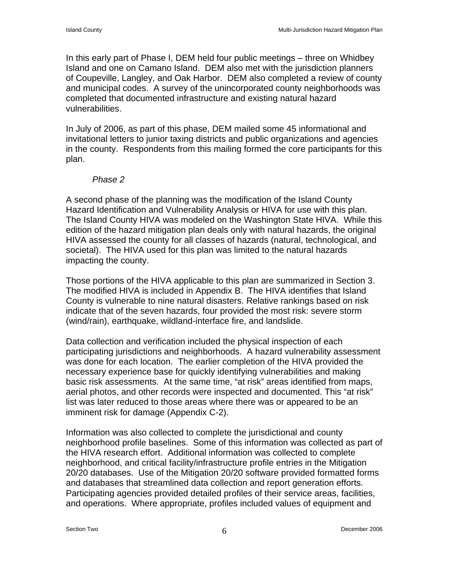In this early part of Phase I, DEM held four public meetings – three on Whidbey Island and one on Camano Island. DEM also met with the jurisdiction planners of Coupeville, Langley, and Oak Harbor. DEM also completed a review of county and municipal codes. A survey of the unincorporated county neighborhoods was completed that documented infrastructure and existing natural hazard vulnerabilities.

In July of 2006, as part of this phase, DEM mailed some 45 informational and invitational letters to junior taxing districts and public organizations and agencies in the county. Respondents from this mailing formed the core participants for this plan.

#### *Phase 2*

A second phase of the planning was the modification of the Island County Hazard Identification and Vulnerability Analysis or HIVA for use with this plan. The Island County HIVA was modeled on the Washington State HIVA. While this edition of the hazard mitigation plan deals only with natural hazards, the original HIVA assessed the county for all classes of hazards (natural, technological, and societal). The HIVA used for this plan was limited to the natural hazards impacting the county.

Those portions of the HIVA applicable to this plan are summarized in Section 3. The modified HIVA is included in Appendix B. The HIVA identifies that Island County is vulnerable to nine natural disasters. Relative rankings based on risk indicate that of the seven hazards, four provided the most risk: severe storm (wind/rain), earthquake, wildland-interface fire, and landslide.

Data collection and verification included the physical inspection of each participating jurisdictions and neighborhoods. A hazard vulnerability assessment was done for each location. The earlier completion of the HIVA provided the necessary experience base for quickly identifying vulnerabilities and making basic risk assessments. At the same time, "at risk" areas identified from maps, aerial photos, and other records were inspected and documented. This "at risk" list was later reduced to those areas where there was or appeared to be an imminent risk for damage (Appendix C-2).

Information was also collected to complete the jurisdictional and county neighborhood profile baselines. Some of this information was collected as part of the HIVA research effort. Additional information was collected to complete neighborhood, and critical facility/infrastructure profile entries in the Mitigation 20/20 databases. Use of the Mitigation 20/20 software provided formatted forms and databases that streamlined data collection and report generation efforts. Participating agencies provided detailed profiles of their service areas, facilities, and operations. Where appropriate, profiles included values of equipment and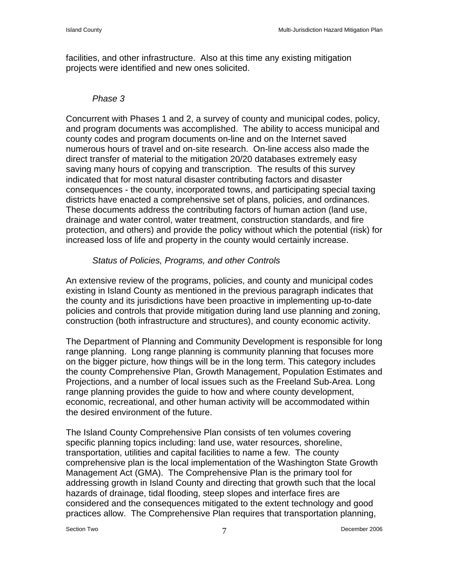facilities, and other infrastructure. Also at this time any existing mitigation projects were identified and new ones solicited.

### *Phase 3*

Concurrent with Phases 1 and 2, a survey of county and municipal codes, policy, and program documents was accomplished. The ability to access municipal and county codes and program documents on-line and on the Internet saved numerous hours of travel and on-site research. On-line access also made the direct transfer of material to the mitigation 20/20 databases extremely easy saving many hours of copying and transcription. The results of this survey indicated that for most natural disaster contributing factors and disaster consequences - the county, incorporated towns, and participating special taxing districts have enacted a comprehensive set of plans, policies, and ordinances. These documents address the contributing factors of human action (land use, drainage and water control, water treatment, construction standards, and fire protection, and others) and provide the policy without which the potential (risk) for increased loss of life and property in the county would certainly increase.

## *Status of Policies, Programs, and other Controls*

An extensive review of the programs, policies, and county and municipal codes existing in Island County as mentioned in the previous paragraph indicates that the county and its jurisdictions have been proactive in implementing up-to-date policies and controls that provide mitigation during land use planning and zoning, construction (both infrastructure and structures), and county economic activity.

The Department of Planning and Community Development is responsible for long range planning. Long range planning is community planning that focuses more on the bigger picture, how things will be in the long term. This category includes the county Comprehensive Plan, Growth Management, Population Estimates and Projections, and a number of local issues such as the Freeland Sub-Area. Long range planning provides the guide to how and where county development, economic, recreational, and other human activity will be accommodated within the desired environment of the future.

The Island County Comprehensive Plan consists of ten volumes covering specific planning topics including: land use, water resources, shoreline, transportation, utilities and capital facilities to name a few. The county comprehensive plan is the local implementation of the Washington State Growth Management Act (GMA). The Comprehensive Plan is the primary tool for addressing growth in Island County and directing that growth such that the local hazards of drainage, tidal flooding, steep slopes and interface fires are considered and the consequences mitigated to the extent technology and good practices allow. The Comprehensive Plan requires that transportation planning,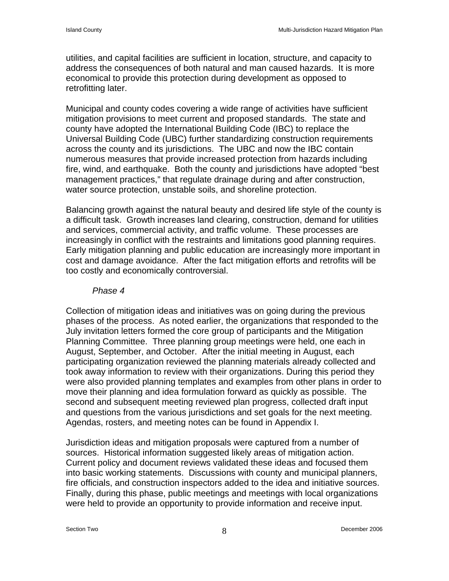utilities, and capital facilities are sufficient in location, structure, and capacity to address the consequences of both natural and man caused hazards. It is more economical to provide this protection during development as opposed to retrofitting later.

Municipal and county codes covering a wide range of activities have sufficient mitigation provisions to meet current and proposed standards. The state and county have adopted the International Building Code (IBC) to replace the Universal Building Code (UBC) further standardizing construction requirements across the county and its jurisdictions. The UBC and now the IBC contain numerous measures that provide increased protection from hazards including fire, wind, and earthquake. Both the county and jurisdictions have adopted "best management practices," that regulate drainage during and after construction, water source protection, unstable soils, and shoreline protection.

Balancing growth against the natural beauty and desired life style of the county is a difficult task. Growth increases land clearing, construction, demand for utilities and services, commercial activity, and traffic volume. These processes are increasingly in conflict with the restraints and limitations good planning requires. Early mitigation planning and public education are increasingly more important in cost and damage avoidance. After the fact mitigation efforts and retrofits will be too costly and economically controversial.

#### *Phase 4*

Collection of mitigation ideas and initiatives was on going during the previous phases of the process. As noted earlier, the organizations that responded to the July invitation letters formed the core group of participants and the Mitigation Planning Committee. Three planning group meetings were held, one each in August, September, and October. After the initial meeting in August, each participating organization reviewed the planning materials already collected and took away information to review with their organizations. During this period they were also provided planning templates and examples from other plans in order to move their planning and idea formulation forward as quickly as possible. The second and subsequent meeting reviewed plan progress, collected draft input and questions from the various jurisdictions and set goals for the next meeting. Agendas, rosters, and meeting notes can be found in Appendix I.

Jurisdiction ideas and mitigation proposals were captured from a number of sources. Historical information suggested likely areas of mitigation action. Current policy and document reviews validated these ideas and focused them into basic working statements. Discussions with county and municipal planners, fire officials, and construction inspectors added to the idea and initiative sources. Finally, during this phase, public meetings and meetings with local organizations were held to provide an opportunity to provide information and receive input.